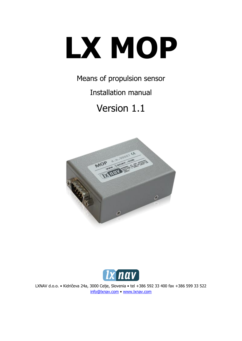# **LX MOP**

Means of propulsion sensor

Installation manual

Version 1.1





LXNAV d.o.o. • Kidričeva 24a, 3000 Celje, Slovenia • tel +386 592 33 400 fax +386 599 33 522 [info@lxnav.com](mailto:support@lxnavigation.si) • www.lxnav.com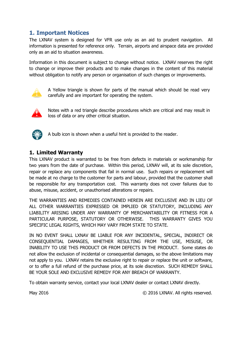### **1. Important Notices**

The LXNAV system is designed for VFR use only as an aid to prudent navigation. All information is presented for reference only. Terrain, airports and airspace data are provided only as an aid to situation awareness.

Information in this document is subject to change without notice. LXNAV reserves the right to change or improve their products and to make changes in the content of this material without obligation to notify any person or organisation of such changes or improvements.



A Yellow triangle is shown for parts of the manual which should be read very carefully and are important for operating the system.



Notes with a red triangle describe procedures which are critical and may result in loss of data or any other critical situation.



A bulb icon is shown when a useful hint is provided to the reader.

#### **1. Limited Warranty**

This LXNAV product is warranted to be free from defects in materials or workmanship for two years from the date of purchase. Within this period, LXNAV will, at its sole discretion, repair or replace any components that fail in normal use. Such repairs or replacement will be made at no charge to the customer for parts and labour, provided that the customer shall be responsible for any transportation cost. This warranty does not cover failures due to abuse, misuse, accident, or unauthorised alterations or repairs.

THE WARRANTIES AND REMEDIES CONTAINED HEREIN ARE EXCLUSIVE AND IN LIEU OF ALL OTHER WARRANTIES EXPRESSED OR IMPLIED OR STATUTORY, INCLUDING ANY LIABILITY ARISING UNDER ANY WARRANTY OF MERCHANTABILITY OR FITNESS FOR A PARTICULAR PURPOSE, STATUTORY OR OTHERWISE. THIS WARRANTY GIVES YOU SPECIFIC LEGAL RIGHTS, WHICH MAY VARY FROM STATE TO STATE.

IN NO EVENT SHALL LXNAV BE LIABLE FOR ANY INCIDENTAL, SPECIAL, INDIRECT OR CONSEQUENTIAL DAMAGES, WHETHER RESULTING FROM THE USE, MISUSE, OR INABILITY TO USE THIS PRODUCT OR FROM DEFECTS IN THE PRODUCT. Some states do not allow the exclusion of incidental or consequential damages, so the above limitations may not apply to you. LXNAV retains the exclusive right to repair or replace the unit or software, or to offer a full refund of the purchase price, at its sole discretion. SUCH REMEDY SHALL BE YOUR SOLE AND EXCLUSIVE REMEDY FOR ANY BREACH OF WARRANTY.

To obtain warranty service, contact your local LXNAV dealer or contact LXNAV directly.

May 2016 **Example 2016** C 2016 LXNAV. All rights reserved.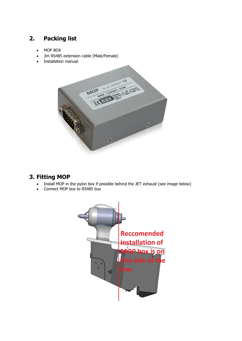# **2. Packing list**

- MOP BOX
- 3m RS485 extension cable (Male/Female)
- Installation manual



## **3. Fitting MOP**

- Install MOP in the pylon box if possible behind the JET exhaust (see image below)
- Connect MOP box to RS485 bus